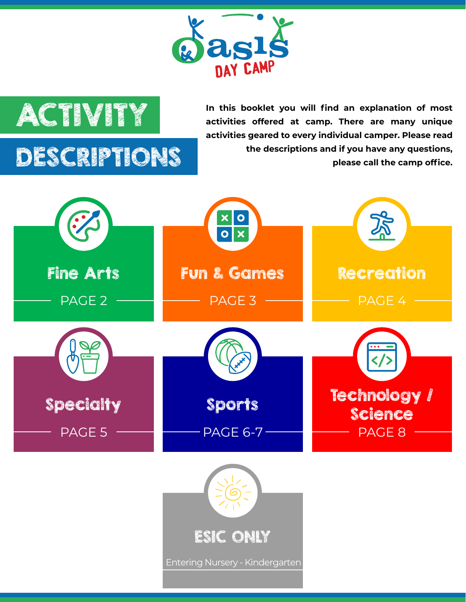



**ACTIVITY** In this booklet you will find an explanation of most  $\mathbb{Z}$ **activities offered at camp. There are many unique activities geared to every individual camper. Please read the descriptions and if you have any questions, please call the camp office.**

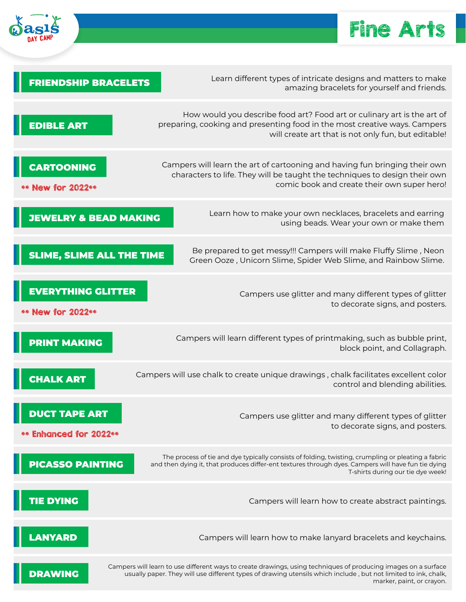

#### Fine Arts

| <b>FRIENDSHIP BRACELETS</b>                    | Learn different types of intricate designs and matters to make<br>amazing bracelets for yourself and friends.                                                                                                                                                 |
|------------------------------------------------|---------------------------------------------------------------------------------------------------------------------------------------------------------------------------------------------------------------------------------------------------------------|
| <b>EDIBLE ART</b>                              | How would you describe food art? Food art or culinary art is the art of<br>preparing, cooking and presenting food in the most creative ways. Campers<br>will create art that is not only fun, but editable!                                                   |
| <b>CARTOONING</b><br>** New for 2022**         | Campers will learn the art of cartooning and having fun bringing their own<br>characters to life. They will be taught the techniques to design their own<br>comic book and create their own super hero!                                                       |
| <b>JEWELRY &amp; BEAD MAKING</b>               | Learn how to make your own necklaces, bracelets and earring<br>using beads. Wear your own or make them                                                                                                                                                        |
| SLIME, SLIME ALL THE TIME                      | Be prepared to get messy!!! Campers will make Fluffy Slime, Neon<br>Green Ooze, Unicorn Slime, Spider Web Slime, and Rainbow Slime.                                                                                                                           |
| <b>EVERYTHING GLITTER</b><br>** New for 2022** | Campers use glitter and many different types of glitter<br>to decorate signs, and posters.                                                                                                                                                                    |
| <b>PRINT MAKING</b>                            | Campers will learn different types of printmaking, such as bubble print,<br>block point, and Collagraph.                                                                                                                                                      |
| <b>CHALK ART</b>                               | Campers will use chalk to create unique drawings, chalk facilitates excellent color<br>control and blending abilities.                                                                                                                                        |
| <b>DUCT TAPE ART</b><br>** Enhanced for 2022** | Campers use glitter and many different types of glitter<br>to decorate signs, and posters.                                                                                                                                                                    |
| <b>PICASSO PAINTING</b>                        | The process of tie and dye typically consists of folding, twisting, crumpling or pleating a fabric<br>and then dying it, that produces differ-ent textures through dyes. Campers will have fun tie dying<br>T-shirts during our tie dye week!                 |
| <b>TIE DYING</b>                               | Campers will learn how to create abstract paintings.                                                                                                                                                                                                          |
| <b>ANYARD</b>                                  | Campers will learn how to make lanyard bracelets and keychains.                                                                                                                                                                                               |
| <b>DRAWING</b>                                 | Campers will learn to use different ways to create drawings, using techniques of producing images on a surface<br>usually paper. They will use different types of drawing utensils which include, but not limited to ink, chalk,<br>marker, paint, or crayon. |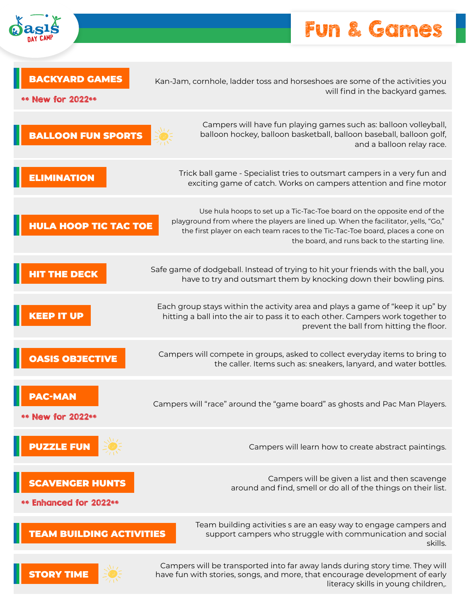#### Fun & Games

H

| <b>BACKYARD GAMES</b><br>** New for 2022**       | Kan-Jam, cornhole, ladder toss and horseshoes are some of the activities you<br>will find in the backyard games.                                                                                                                                                                                  |
|--------------------------------------------------|---------------------------------------------------------------------------------------------------------------------------------------------------------------------------------------------------------------------------------------------------------------------------------------------------|
| <b>BALLOON FUN SPORTS</b>                        | Campers will have fun playing games such as: balloon volleyball,<br>balloon hockey, balloon basketball, balloon baseball, balloon golf,<br>and a balloon relay race.                                                                                                                              |
| <b>ELIMINATION</b>                               | Trick ball game - Specialist tries to outsmart campers in a very fun and<br>exciting game of catch. Works on campers attention and fine motor                                                                                                                                                     |
| <b>HULA HOOP TIC TAC TOE</b>                     | Use hula hoops to set up a Tic-Tac-Toe board on the opposite end of the<br>playground from where the players are lined up. When the facilitator, yells, "Go,"<br>the first player on each team races to the Tic-Tac-Toe board, places a cone on<br>the board, and runs back to the starting line. |
| <b>HIT THE DECK</b>                              | Safe game of dodgeball. Instead of trying to hit your friends with the ball, you<br>have to try and outsmart them by knocking down their bowling pins.                                                                                                                                            |
| <b>KEEP IT UP</b>                                | Each group stays within the activity area and plays a game of "keep it up" by<br>hitting a ball into the air to pass it to each other. Campers work together to<br>prevent the ball from hitting the floor.                                                                                       |
| <b>OASIS OBJECTIVE</b>                           | Campers will compete in groups, asked to collect everyday items to bring to<br>the caller. Items such as: sneakers, lanyard, and water bottles.                                                                                                                                                   |
| PAC-MAN<br>** New for 2022**                     | Campers will "race" around the "game board" as ghosts and Pac Man Players.                                                                                                                                                                                                                        |
| <b>PUZZLE FUN</b>                                | Campers will learn how to create abstract paintings.                                                                                                                                                                                                                                              |
| <b>SCAVENGER HUNTS</b><br>** Enhanced for 2022** | Campers will be given a list and then scavenge<br>around and find, smell or do all of the things on their list.                                                                                                                                                                                   |
| <b>TEAM BUILDING ACTIVITIES</b>                  | Team building activities s are an easy way to engage campers and<br>support campers who struggle with communication and social<br>skills.                                                                                                                                                         |
| <b>STORY TIME</b>                                | Campers will be transported into far away lands during story time. They will<br>have fun with stories, songs, and more, that encourage development of early                                                                                                                                       |

G

have fun with stories, songs, and more, that encourage development of early literacy skills in young children,.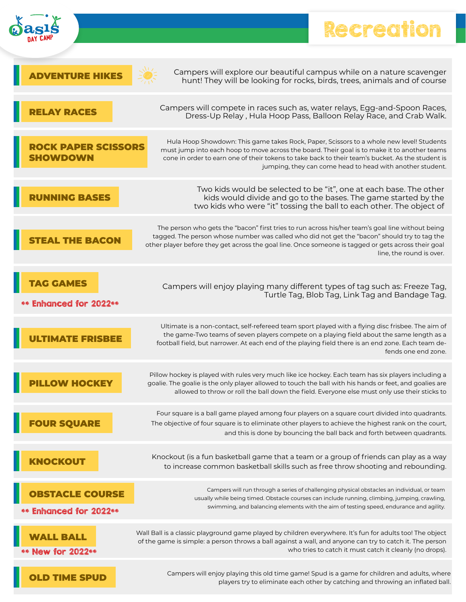

П

### Recreation **H**

|                                                  | Campers will explore our beautiful campus while on a nature scavenger<br>hunt! They will be looking for rocks, birds, trees, animals and of course                                                                                                                                                                                                        |
|--------------------------------------------------|-----------------------------------------------------------------------------------------------------------------------------------------------------------------------------------------------------------------------------------------------------------------------------------------------------------------------------------------------------------|
|                                                  | Campers will compete in races such as, water relays, Egg-and-Spoon Races,<br>Dress-Up Relay, Hula Hoop Pass, Balloon Relay Race, and Crab Walk.                                                                                                                                                                                                           |
| K PAPER SCISSORS                                 | Hula Hoop Showdown: This game takes Rock, Paper, Scissors to a whole new level! Students<br>must jump into each hoop to move across the board. Their goal is to make it to another teams<br>cone in order to earn one of their tokens to take back to their team's bucket. As the student is<br>jumping, they can come head to head with another student. |
|                                                  | Two kids would be selected to be "it", one at each base. The other<br>kids would divide and go to the bases. The game started by the<br>two kids who were "it" tossing the ball to each other. The object of                                                                                                                                              |
| <b>HE BACON</b>                                  | The person who gets the "bacon" first tries to run across his/her team's goal line without being<br>tagged. The person whose number was called who did not get the "bacon" should try to tag the<br>other player before they get across the goal line. Once someone is tagged or gets across their goal<br>line, the round is over.                       |
| <b>Enhanced for 2022**</b>                       | Campers will enjoy playing many different types of tag such as: Freeze Tag,<br>Turtle Tag, Blob Tag, Link Tag and Bandage Tag.                                                                                                                                                                                                                            |
|                                                  | Ultimate is a non-contact, self-refereed team sport played with a flying disc frisbee. The aim of<br>the game-Two teams of seven players compete on a playing field about the same length as a<br>football field, but narrower. At each end of the playing field there is an end zone. Each team de-<br>fends one end zone.                               |
|                                                  | Pillow hockey is played with rules very much like ice hockey. Each team has six players including a<br>goalie. The goalie is the only player allowed to touch the ball with his hands or feet, and goalies are<br>allowed to throw or roll the ball down the field. Everyone else must only use their sticks to                                           |
| <b>FOUR SQUARE</b>                               | Four square is a ball game played among four players on a square court divided into quadrants.<br>The objective of four square is to eliminate other players to achieve the highest rank on the court,<br>and this is done by bouncing the ball back and forth between quadrants.                                                                         |
| KNOCKOUT                                         | Knockout (is a fun basketball game that a team or a group of friends can play as a way<br>to increase common basketball skills such as free throw shooting and rebounding.                                                                                                                                                                                |
| <b>OBSTACLE COURSE</b><br>** Enhanced for 2022** | Campers will run through a series of challenging physical obstacles an individual, or team<br>usually while being timed. Obstacle courses can include running, climbing, jumping, crawling,<br>swimming, and balancing elements with the aim of testing speed, endurance and agility.                                                                     |
| lew for 2022**                                   | Wall Ball is a classic playground game played by children everywhere. It's fun for adults too! The object<br>of the game is simple: a person throws a ball against a wall, and anyone can try to catch it. The person<br>who tries to catch it must catch it cleanly (no drops).                                                                          |
|                                                  | Campers will enjoy playing this old time game! Spud is a game for children and adults, where<br>players try to eliminate each other by catching and throwing an inflated ball.                                                                                                                                                                            |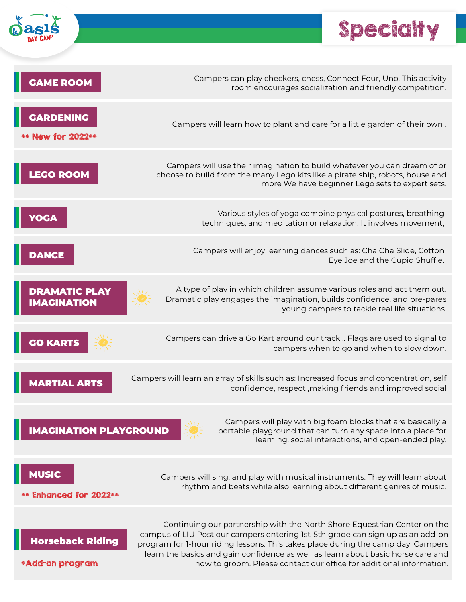

### Specialty

H

| <b>GAME ROOM</b>                           | Campers can play checkers, chess, Connect Four, Uno. This activity<br>room encourages socialization and friendly competition.                                                                                                                                                                                                                                                                             |
|--------------------------------------------|-----------------------------------------------------------------------------------------------------------------------------------------------------------------------------------------------------------------------------------------------------------------------------------------------------------------------------------------------------------------------------------------------------------|
| <b>GARDENING</b><br>** New for 2022**      | Campers will learn how to plant and care for a little garden of their own.                                                                                                                                                                                                                                                                                                                                |
| <b>LEGO ROOM</b>                           | Campers will use their imagination to build whatever you can dream of or<br>choose to build from the many Lego kits like a pirate ship, robots, house and<br>more We have beginner Lego sets to expert sets.                                                                                                                                                                                              |
| <b>YOGA</b>                                | Various styles of yoga combine physical postures, breathing<br>techniques, and meditation or relaxation. It involves movement,                                                                                                                                                                                                                                                                            |
| <b>DANCE</b>                               | Campers will enjoy learning dances such as: Cha Cha Slide, Cotton<br>Eye Joe and the Cupid Shuffle.                                                                                                                                                                                                                                                                                                       |
| <b>DRAMATIC PLAY</b><br><b>IMAGINATION</b> | A type of play in which children assume various roles and act them out.<br>Dramatic play engages the imagination, builds confidence, and pre-pares<br>young campers to tackle real life situations.                                                                                                                                                                                                       |
| <b>GO KARTS</b>                            | Campers can drive a Go Kart around our track  Flags are used to signal to<br>campers when to go and when to slow down.                                                                                                                                                                                                                                                                                    |
| <b>MARTIAL ARTS</b>                        | Campers will learn an array of skills such as: Increased focus and concentration, self<br>confidence, respect, making friends and improved social                                                                                                                                                                                                                                                         |
| <b>IMAGINATION PLAYGROUND</b>              | Campers will play with big foam blocks that are basically a<br>portable playground that can turn any space into a place for<br>learning, social interactions, and open-ended play.                                                                                                                                                                                                                        |
| <b>MUSIC</b><br>** Enhanced for 2022**     | Campers will sing, and play with musical instruments. They will learn about<br>rhythm and beats while also learning about different genres of music.                                                                                                                                                                                                                                                      |
| <b>Horseback Riding</b><br>*Add-on program | Continuing our partnership with the North Shore Equestrian Center on the<br>campus of LIU Post our campers entering 1st-5th grade can sign up as an add-on<br>program for 1-hour riding lessons. This takes place during the camp day. Campers<br>learn the basics and gain confidence as well as learn about basic horse care and<br>how to groom. Please contact our office for additional information. |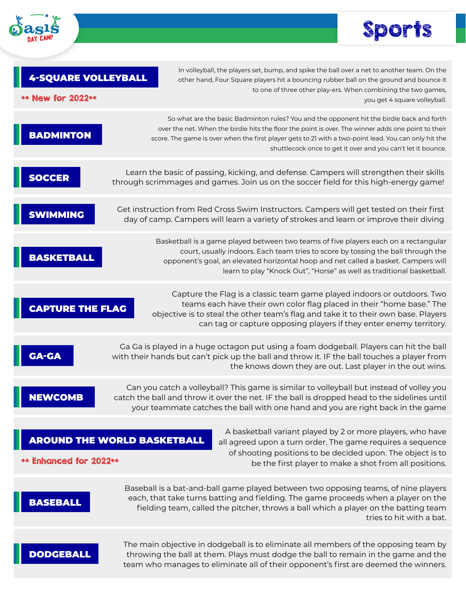

# Sports

| <b>4-SQUARE VOLLEYBALL</b><br>** New for 2022** | In volleyball, the players set, bump, and spike the ball over a net to another team. On the<br>other hand, Four Square players hit a bouncing rubber ball on the ground and bounce it<br>to one of three other play-ers. When combining the two games,<br>you get 4 square volleyball.                                                                                  |
|-------------------------------------------------|-------------------------------------------------------------------------------------------------------------------------------------------------------------------------------------------------------------------------------------------------------------------------------------------------------------------------------------------------------------------------|
| <b>BADMINTON</b>                                | So what are the basic Badminton rules? You and the opponent hit the birdie back and forth<br>over the net. When the birdie hits the floor the point is over. The winner adds one point to their<br>score. The game is over when the first player gets to 21 with a two-point lead. You can only hit the<br>shuttlecock once to get it over and you can't let it bounce. |
| <b>SOCCER</b>                                   | Learn the basic of passing, kicking, and defense. Campers will strengthen their skills<br>through scrimmages and games. Join us on the soccer field for this high-energy game!                                                                                                                                                                                          |
| SWIMMING                                        | Get instruction from Red Cross Swim Instructors. Campers will get tested on their first<br>day of camp. Campers will learn a variety of strokes and learn or improve their diving                                                                                                                                                                                       |
| <b>BASKETBALL</b>                               | Basketball is a game played between two teams of five players each on a rectangular<br>court, usually indoors. Each team tries to score by tossing the ball through the<br>opponent's goal, an elevated horizontal hoop and net called a basket. Campers will<br>learn to play "Knock Out", "Horse" as well as traditional basketball.                                  |
| <b>CAPTURE THE FLAG</b>                         | Capture the Flag is a classic team game played indoors or outdoors. Two<br>teams each have their own color flag placed in their "home base." The<br>objective is to steal the other team's flag and take it to their own base. Players<br>can tag or capture opposing players if they enter enemy territory.                                                            |
| <b>GA-GA</b>                                    | Ga Ga is played in a huge octagon put using a foam dodgeball. Players can hit the ball<br>with their hands but can't pick up the ball and throw it. IF the ball touches a player from<br>the knows down they are out. Last player in the out wins.                                                                                                                      |
| <b>NEWCOMB</b>                                  | Can you catch a volleyball? This game is similar to volleyball but instead of volley you<br>catch the ball and throw it over the net. IF the ball is dropped head to the sidelines until<br>your teammate catches the ball with one hand and you are right back in the game                                                                                             |
| ** Enhanced for 2022**                          | A basketball variant played by 2 or more players, who have<br><b>AROUND THE WORLD BASKETBALL</b><br>all agreed upon a turn order. The game requires a sequence<br>of shooting positions to be decided upon. The object is to<br>be the first player to make a shot from all positions.                                                                                  |
| BASEBALI                                        | Baseball is a bat-and-ball game played between two opposing teams, of nine players<br>each, that take turns batting and fielding. The game proceeds when a player on the<br>fielding team, called the pitcher, throws a ball which a player on the batting team<br>tries to hit with a bat.                                                                             |
| DODGEBALL                                       | The main objective in dodgeball is to eliminate all members of the opposing team by<br>throwing the ball at them. Plays must dodge the ball to remain in the game and the<br>team who manages to eliminate all of their opponent's first are deemed the winners.                                                                                                        |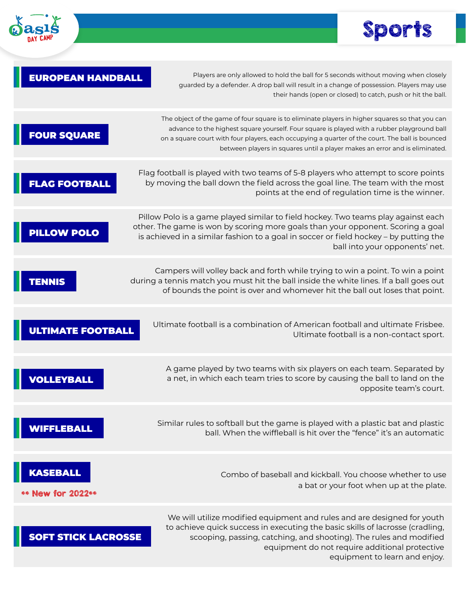



| <b>EUROPEAN HANDBALL</b>                 | Players are only allowed to hold the ball for 5 seconds without moving when closely<br>guarded by a defender. A drop ball will result in a change of possession. Players may use<br>their hands (open or closed) to catch, push or hit the ball.                                                                                                                                 |
|------------------------------------------|----------------------------------------------------------------------------------------------------------------------------------------------------------------------------------------------------------------------------------------------------------------------------------------------------------------------------------------------------------------------------------|
| <b>FOUR SQUARE</b>                       | The object of the game of four square is to eliminate players in higher squares so that you can<br>advance to the highest square yourself. Four square is played with a rubber playground ball<br>on a square court with four players, each occupying a quarter of the court. The ball is bounced<br>between players in squares until a player makes an error and is eliminated. |
| <b>AG FOOTBALL</b>                       | Flag football is played with two teams of 5-8 players who attempt to score points<br>by moving the ball down the field across the goal line. The team with the most<br>points at the end of regulation time is the winner.                                                                                                                                                       |
| <b>LLOW POLO</b>                         | Pillow Polo is a game played similar to field hockey. Two teams play against each<br>other. The game is won by scoring more goals than your opponent. Scoring a goal<br>is achieved in a similar fashion to a goal in soccer or field hockey - by putting the<br>ball into your opponents' net.                                                                                  |
|                                          | Campers will volley back and forth while trying to win a point. To win a point<br>during a tennis match you must hit the ball inside the white lines. If a ball goes out<br>of bounds the point is over and whomever hit the ball out loses that point.                                                                                                                          |
| <b>ULTIMATE FOOTBALL</b>                 | Ultimate football is a combination of American football and ultimate Frisbee.<br>Ultimate football is a non-contact sport.                                                                                                                                                                                                                                                       |
|                                          | A game played by two teams with six players on each team. Separated by<br>a net, in which each team tries to score by causing the ball to land on the<br>opposite team's court.                                                                                                                                                                                                  |
|                                          | Similar rules to softball but the game is played with a plastic bat and plastic<br>ball. When the wiffleball is hit over the "fence" it's an automatic                                                                                                                                                                                                                           |
| <b>KASEBALL</b><br><b>New for 2022**</b> | Combo of baseball and kickball. You choose whether to use<br>a bat or your foot when up at the plate.                                                                                                                                                                                                                                                                            |
| <b>SOFT STICK LACROSSE</b>               | We will utilize modified equipment and rules and are designed for youth<br>to achieve quick success in executing the basic skills of lacrosse (cradling,<br>scooping, passing, catching, and shooting). The rules and modified<br>equipment do not require additional protective<br>equipment to learn and enjoy.                                                                |